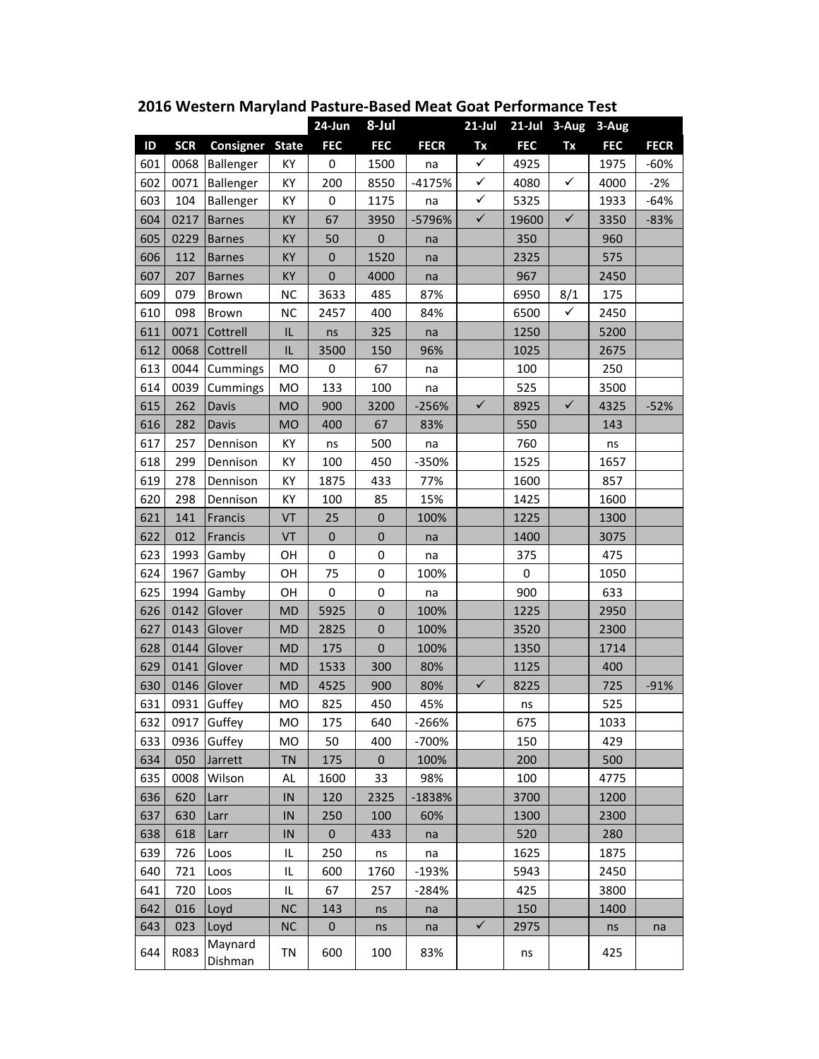|     |            |                    |              | 24-Jun           | 8-Jul            |             | $21$ -Jul    |            |              | 21-Jul 3-Aug 3-Aug |             |
|-----|------------|--------------------|--------------|------------------|------------------|-------------|--------------|------------|--------------|--------------------|-------------|
| ID  | <b>SCR</b> | <b>Consigner</b>   | <b>State</b> | <b>FEC</b>       | <b>FEC</b>       | <b>FECR</b> | Tx           | <b>FEC</b> | Tx           | <b>FEC</b>         | <b>FECR</b> |
| 601 | 0068       | Ballenger          | KY           | 0                | 1500             | na          | $\checkmark$ | 4925       |              | 1975               | $-60%$      |
| 602 | 0071       | Ballenger          | KY           | 200              | 8550             | $-4175%$    | $\checkmark$ | 4080       | $\checkmark$ | 4000               | $-2%$       |
| 603 | 104        | Ballenger          | KY           | 0                | 1175             | na          | $\checkmark$ | 5325       |              | 1933               | $-64%$      |
| 604 | 0217       | <b>Barnes</b>      | KY           | 67               | 3950             | -5796%      | $\checkmark$ | 19600      | $\checkmark$ | 3350               | $-83%$      |
| 605 | 0229       | <b>Barnes</b>      | KY           | 50               | $\boldsymbol{0}$ | na          |              | 350        |              | 960                |             |
| 606 | 112        | <b>Barnes</b>      | KY           | $\boldsymbol{0}$ | 1520             | na          |              | 2325       |              | 575                |             |
| 607 | 207        | <b>Barnes</b>      | KY           | $\boldsymbol{0}$ | 4000             | na          |              | 967        |              | 2450               |             |
| 609 | 079        | Brown              | <b>NC</b>    | 3633             | 485              | 87%         |              | 6950       | 8/1          | 175                |             |
| 610 | 098        | Brown              | <b>NC</b>    | 2457             | 400              | 84%         |              | 6500       | ✓            | 2450               |             |
| 611 | 0071       | Cottrell           | IL           | ns               | 325              | na          |              | 1250       |              | 5200               |             |
| 612 | 0068       | Cottrell           | IL           | 3500             | 150              | 96%         |              | 1025       |              | 2675               |             |
| 613 | 0044       | Cummings           | MO           | 0                | 67               | na          |              | 100        |              | 250                |             |
| 614 | 0039       | Cummings           | MO           | 133              | 100              | na          |              | 525        |              | 3500               |             |
| 615 | 262        | Davis              | <b>MO</b>    | 900              | 3200             | $-256%$     | $\checkmark$ | 8925       | $\checkmark$ | 4325               | $-52%$      |
| 616 | 282        | Davis              | <b>MO</b>    | 400              | 67               | 83%         |              | 550        |              | 143                |             |
| 617 | 257        | Dennison           | KY           | ns               | 500              | na          |              | 760        |              | ns                 |             |
| 618 | 299        | Dennison           | KY           | 100              | 450              | -350%       |              | 1525       |              | 1657               |             |
| 619 | 278        | Dennison           | KY           | 1875             | 433              | 77%         |              | 1600       |              | 857                |             |
| 620 | 298        | Dennison           | KY           | 100              | 85               | 15%         |              | 1425       |              | 1600               |             |
| 621 | 141        | Francis            | VT           | 25               | $\boldsymbol{0}$ | 100%        |              | 1225       |              | 1300               |             |
| 622 | 012        | Francis            | VT           | $\boldsymbol{0}$ | $\pmb{0}$        | na          |              | 1400       |              | 3075               |             |
| 623 | 1993       | Gamby              | OH           | $\boldsymbol{0}$ | $\pmb{0}$        | na          |              | 375        |              | 475                |             |
| 624 | 1967       | Gamby              | OH           | 75               | $\pmb{0}$        | 100%        |              | 0          |              | 1050               |             |
| 625 | 1994       | Gamby              | OH           | $\pmb{0}$        | 0                | na          |              | 900        |              | 633                |             |
| 626 | 0142       | Glover             | MD           | 5925             | $\pmb{0}$        | 100%        |              | 1225       |              | 2950               |             |
| 627 | 0143       | Glover             | MD           | 2825             | $\pmb{0}$        | 100%        |              | 3520       |              | 2300               |             |
| 628 | 0144       | Glover             | <b>MD</b>    | 175              | $\mathbf{0}$     | 100%        |              | 1350       |              | 1714               |             |
| 629 | 0141       | Glover             | MD           | 1533             | 300              | 80%         |              | 1125       |              | 400                |             |
| 630 | 0146       | Glover             | <b>MD</b>    | 4525             | 900              | 80%         | $\checkmark$ | 8225       |              | 725                | $-91%$      |
| 631 | 0931       | Guffey             | MO           | 825              | 450              | 45%         |              | ns         |              | 525                |             |
| 632 |            | 0917 Guffey        | MO           | 175              | 640              | $-266%$     |              | 675        |              | 1033               |             |
| 633 | 0936       | Guffey             | MO           | 50               | 400              | -700%       |              | 150        |              | 429                |             |
| 634 | 050        | Jarrett            | TN           | 175              | $\bf{0}$         | 100%        |              | 200        |              | 500                |             |
| 635 | 0008       | Wilson             | AL           | 1600             | 33               | 98%         |              | 100        |              | 4775               |             |
| 636 | 620        | Larr               | IN           | 120              | 2325             | $-1838%$    |              | 3700       |              | 1200               |             |
| 637 | 630        | Larr               | IN           | 250              | 100              | 60%         |              | 1300       |              | 2300               |             |
| 638 | 618        | Larr               | IN           | $\pmb{0}$        | 433              | na          |              | 520        |              | 280                |             |
| 639 | 726        | Loos               | IL           | 250              | ns               | na          |              | 1625       |              | 1875               |             |
| 640 | 721        | Loos               | IL           | 600              | 1760             | $-193%$     |              | 5943       |              | 2450               |             |
| 641 | 720        | Loos               | IL           | 67               | 257              | $-284%$     |              | 425        |              | 3800               |             |
| 642 | 016        | Loyd               | <b>NC</b>    | 143              | ns               | na          |              | 150        |              | 1400               |             |
| 643 | 023        | Loyd               | <b>NC</b>    | $\pmb{0}$        | ns               | na          | $\checkmark$ | 2975       |              | ns                 | na          |
| 644 | R083       | Maynard<br>Dishman | TN           | 600              | 100              | 83%         |              | ns         |              | 425                |             |

**2016 Western Maryland Pasture‐Based Meat Goat Performance Test**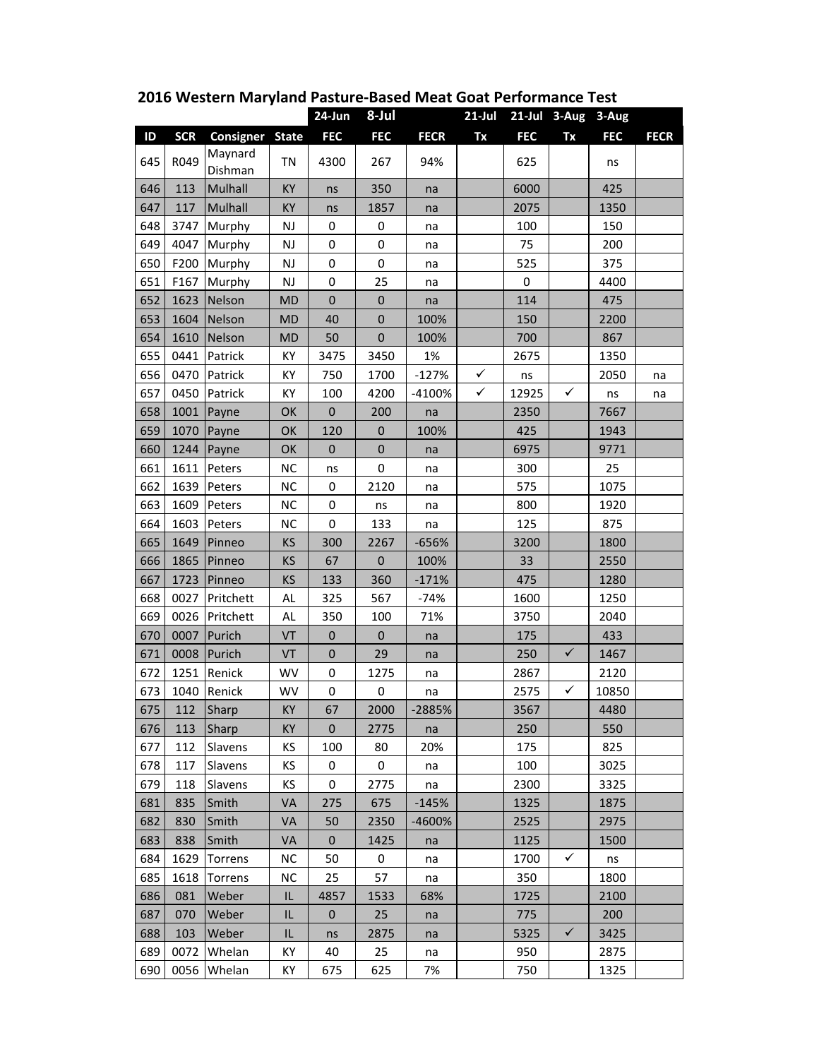|     |            |                    |              | 24-Jun           | 8-Jul            |             | $21$ -Jul    |             | 21-Jul 3-Aug | 3-Aug      |             |
|-----|------------|--------------------|--------------|------------------|------------------|-------------|--------------|-------------|--------------|------------|-------------|
| ID  | <b>SCR</b> | Consigner          | <b>State</b> | <b>FEC</b>       | <b>FEC</b>       | <b>FECR</b> | Tx           | <b>FEC</b>  | Tx           | <b>FEC</b> | <b>FECR</b> |
| 645 | R049       | Maynard<br>Dishman | <b>TN</b>    | 4300             | 267              | 94%         |              | 625         |              | ns         |             |
| 646 | 113        | Mulhall            | KY           | ns               | 350              | na          |              | 6000        |              | 425        |             |
| 647 | 117        | Mulhall            | KY           | ns               | 1857             | na          |              | 2075        |              | 1350       |             |
| 648 | 3747       | Murphy             | NJ           | $\boldsymbol{0}$ | 0                | na          |              | 100         |              | 150        |             |
| 649 | 4047       | Murphy             | NJ           | $\boldsymbol{0}$ | 0                | na          |              | 75          |              | 200        |             |
| 650 | F200       | Murphy             | NJ           | 0                | 0                | na          |              | 525         |              | 375        |             |
| 651 | F167       | Murphy             | NJ           | $\boldsymbol{0}$ | 25               | na          |              | $\mathbf 0$ |              | 4400       |             |
| 652 | 1623       | Nelson             | <b>MD</b>    | $\mathbf 0$      | $\boldsymbol{0}$ | na          |              | 114         |              | 475        |             |
| 653 | 1604       | Nelson             | <b>MD</b>    | 40               | $\pmb{0}$        | 100%        |              | 150         |              | 2200       |             |
| 654 | 1610       | Nelson             | <b>MD</b>    | 50               | $\mathbf 0$      | 100%        |              | 700         |              | 867        |             |
| 655 | 0441       | Patrick            | KY           | 3475             | 3450             | 1%          |              | 2675        |              | 1350       |             |
| 656 | 0470       | Patrick            | ΚY           | 750              | 1700             | $-127%$     | $\checkmark$ | ns          |              | 2050       | na          |
| 657 | 0450       | Patrick            | KY           | 100              | 4200             | -4100%      | $\checkmark$ | 12925       | $\checkmark$ | ns         | na          |
| 658 | 1001       | Payne              | OK           | $\mathbf 0$      | 200              | na          |              | 2350        |              | 7667       |             |
| 659 | 1070       | Payne              | OK           | 120              | $\pmb{0}$        | 100%        |              | 425         |              | 1943       |             |
| 660 | 1244       | Payne              | OK           | $\boldsymbol{0}$ | $\pmb{0}$        | na          |              | 6975        |              | 9771       |             |
| 661 | 1611       | Peters             | <b>NC</b>    | ns               | 0                | na          |              | 300         |              | 25         |             |
| 662 | 1639       | Peters             | <b>NC</b>    | 0                | 2120             | na          |              | 575         |              | 1075       |             |
| 663 | 1609       | Peters             | <b>NC</b>    | $\boldsymbol{0}$ | ns               | na          |              | 800         |              | 1920       |             |
| 664 | 1603       | Peters             | NC           | 0                | 133              | na          |              | 125         |              | 875        |             |
| 665 | 1649       | Pinneo             | KS           | 300              | 2267             | -656%       |              | 3200        |              | 1800       |             |
| 666 | 1865       | Pinneo             | KS           | 67               | $\mathbf 0$      | 100%        |              | 33          |              | 2550       |             |
| 667 | 1723       | Pinneo             | <b>KS</b>    | 133              | 360              | $-171%$     |              | 475         |              | 1280       |             |
| 668 | 0027       | Pritchett          | AL           | 325              | 567              | $-74%$      |              | 1600        |              | 1250       |             |
| 669 | 0026       | Pritchett          | <b>AL</b>    | 350              | 100              | 71%         |              | 3750        |              | 2040       |             |
| 670 | 0007       | Purich             | VT           | $\pmb{0}$        | $\pmb{0}$        | na          |              | 175         |              | 433        |             |
| 671 | 0008       | Purich             | VT           | $\pmb{0}$        | 29               | na          |              | 250         | $\checkmark$ | 1467       |             |
| 672 | 1251       | Renick             | WV           | 0                | 1275             | na          |              | 2867        |              | 2120       |             |
| 673 | 1040       | Renick             | WV           | 0                | 0                | na          |              | 2575        | ✓            | 10850      |             |
| 675 | 112        | Sharp              | ΚY           | 67               | 2000             | -2885%      |              | 3567        |              | 4480       |             |
| 676 | 113        | Sharp              | KY           | $\pmb{0}$        | 2775             | na          |              | 250         |              | 550        |             |
| 677 | 112        | Slavens            | ΚS           | 100              | 80               | 20%         |              | 175         |              | 825        |             |
| 678 | 117        | Slavens            | ΚS           | 0                | 0                | na          |              | 100         |              | 3025       |             |
| 679 | 118        | Slavens            | ΚS           | 0                | 2775             | na          |              | 2300        |              | 3325       |             |
| 681 | 835        | Smith              | VA           | 275              | 675              | $-145%$     |              | 1325        |              | 1875       |             |
| 682 | 830        | Smith              | VA           | 50               | 2350             | -4600%      |              | 2525        |              | 2975       |             |
| 683 | 838        | Smith              | VA           | $\pmb{0}$        | 1425             | na          |              | 1125        |              | 1500       |             |
| 684 | 1629       | Torrens            | NC.          | 50               | 0                | na          |              | 1700        | $\checkmark$ | ns         |             |
| 685 | 1618       | Torrens            | <b>NC</b>    | 25               | 57               | na          |              | 350         |              | 1800       |             |
| 686 | 081        | Weber              | IL           | 4857             | 1533             | 68%         |              | 1725        |              | 2100       |             |
| 687 | 070        | Weber              | IL           | $\pmb{0}$        | 25               | na          |              | 775         |              | 200        |             |
| 688 | 103        | Weber              | IL           | ns               | 2875             | na          |              | 5325        | $\checkmark$ | 3425       |             |
| 689 | 0072       | Whelan             | KY           | 40               | 25               | na          |              | 950         |              | 2875       |             |
| 690 | 0056       | Whelan             | KY           | 675              | 625              | 7%          |              | 750         |              | 1325       |             |

**2016 Western Maryland Pasture‐Based Meat Goat Performance Test**